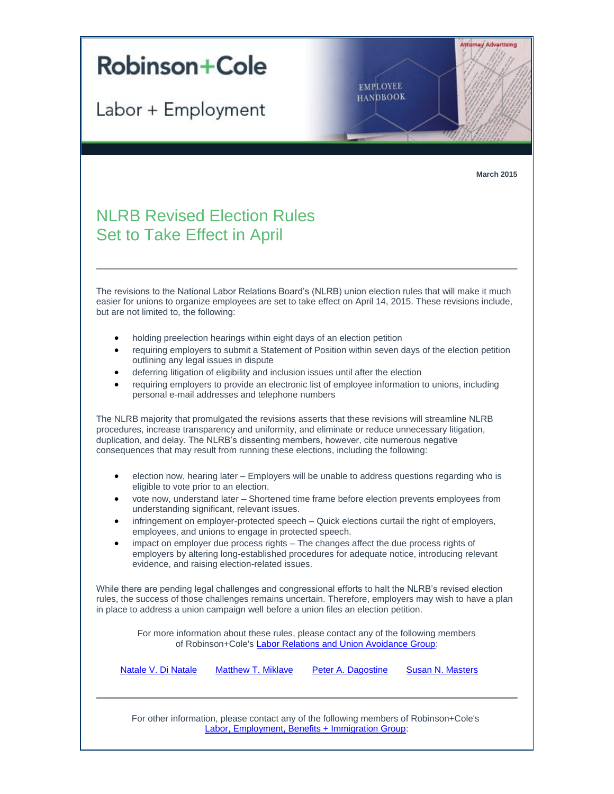

Labor + Employment

**EMPLOYEE HANDBOOK** 

**March 2015**

**Attorney Advertising** 

## **NLRB Revised Election Rules** Set to Take Effect in April

The revisions to the National Labor Relations Board's (NLRB) union election rules that will make it much easier for unions to organize employees are set to take effect on April 14, 2015. These revisions include, but are not limited to, the following:

- holding preelection hearings within eight days of an election petition
- requiring employers to submit a Statement of Position within seven days of the election petition outlining any legal issues in dispute
- deferring litigation of eligibility and inclusion issues until after the election
- requiring employers to provide an electronic list of employee information to unions, including personal e-mail addresses and telephone numbers

The NLRB majority that promulgated the revisions asserts that these revisions will streamline NLRB procedures, increase transparency and uniformity, and eliminate or reduce unnecessary litigation, duplication, and delay. The NLRB's dissenting members, however, cite numerous negative consequences that may result from running these elections, including the following:

- election now, hearing later Employers will be unable to address questions regarding who is eligible to vote prior to an election.
- vote now, understand later Shortened time frame before election prevents employees from understanding significant, relevant issues.
- infringement on employer-protected speech Quick elections curtail the right of employers, employees, and unions to engage in protected speech.
- impact on employer due process rights The changes affect the due process rights of employers by altering long-established procedures for adequate notice, introducing relevant evidence, and raising election-related issues.

While there are pending legal challenges and congressional efforts to halt the NLRB's revised election rules, the success of those challenges remains uncertain. Therefore, employers may wish to have a plan in place to address a union campaign well before a union files an election petition.

> For more information about these rules, please contact any of the following members of Robinson+Cole's [Labor Relations and Union Avoidance Group:](http://t2806904.omkt.co/track.aspx?id=402|2AD478|6F10|19C|96F|0|93A|1|29F0AE1D&destination=http%3a%2f%2fwww.rc.com%2fpractices%2fLaborEmploymentBenefits%2fLaborRelationsandUnionAvoidance%2findex.cfm%3futm_source%3dVocus%26utm_medium%3demail%26utm_campaign%3dRobinson%2b%2526%2bCole%2bLLP%26utm_content%3dBLE%2bUpdate%2b%2bMarch%2b2015&dchk=69E34B15)

| Natale V. Di Natale | Matthew T. Miklave | Peter A. Dagostine | Susan N. Masters |
|---------------------|--------------------|--------------------|------------------|
|---------------------|--------------------|--------------------|------------------|

For other information, please contact any of the following members of Robinson+Cole's [Labor, Employment, Benefits + Immigration Group:](http://t2806904.omkt.co/track.aspx?id=402|2AD478|6F10|19C|96F|0|93F|1|29F0AE1D&destination=http%3a%2f%2fwww.rc.com%2fpractices%2fLaborEmploymentBenefits%2findex.cfm%3futm_source%3dVocus%26utm_medium%3demail%26utm_campaign%3dRobinson%2b%2526%2bCole%2bLLP%26utm_content%3dBLE%2bUpdate%2b%2bMarch%2b2015&dchk=51EFC126)